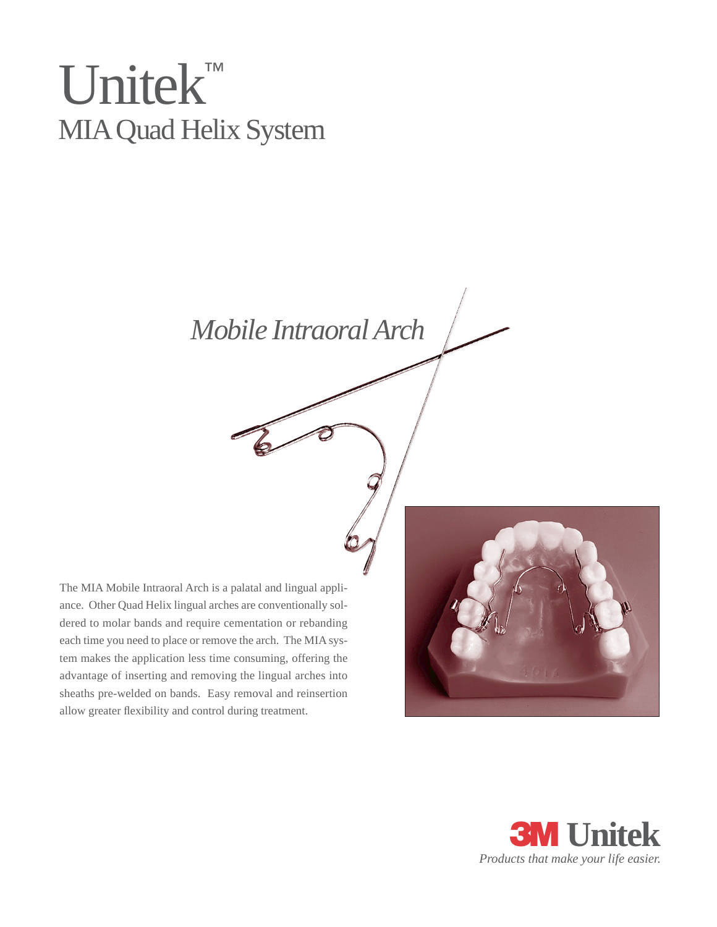# Unitek™ MIAQuad Helix System

*Mobile Intraoral Arch*

The MIA Mobile Intraoral Arch is a palatal and lingual appliance. Other Quad Helix lingual arches are conventionally soldered to molar bands and require cementation or rebanding each time you need to place or remove the arch. The MIA system makes the application less time consuming, offering the advantage of inserting and removing the lingual arches into sheaths pre-welded on bands. Easy removal and reinsertion allow greater flexibility and control during treatment.



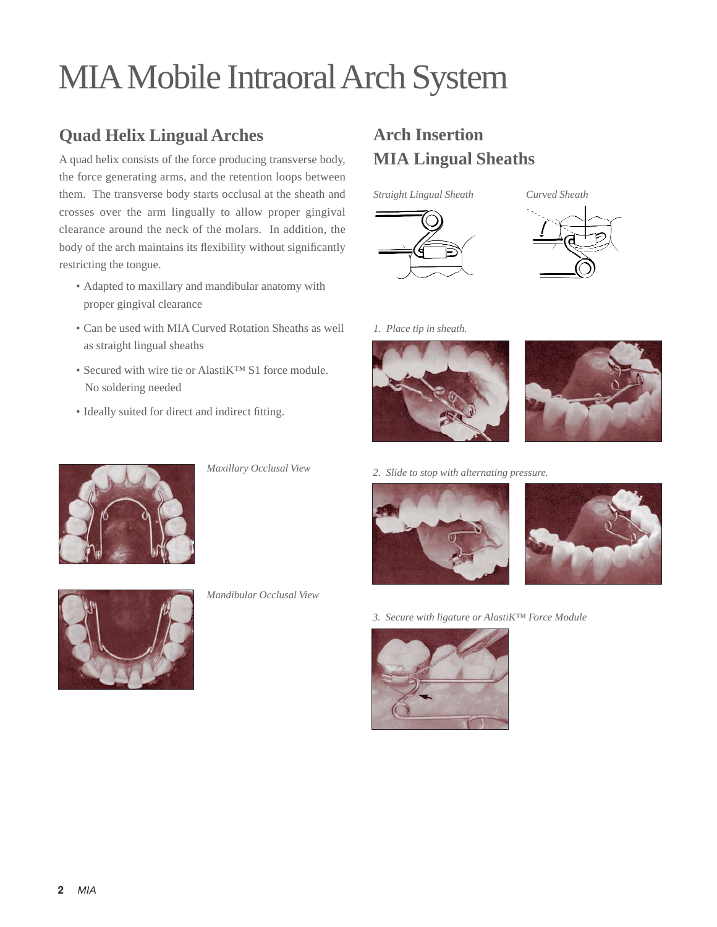# MIAMobile Intraoral Arch System

## **Quad Helix Lingual Arches**

A quad helix consists of the force producing transverse body, the force generating arms, and the retention loops between them. The transverse body starts occlusal at the sheath and crosses over the arm lingually to allow proper gingival clearance around the neck of the molars. In addition, the body of the arch maintains its flexibility without significantly restricting the tongue.

- Adapted to maxillary and mandibular anatomy with proper gingival clearance
- Can be used with MIA Curved Rotation Sheaths as well as straight lingual sheaths
- Secured with wire tie or AlastiK™ S1 force module. No soldering needed
- Ideally suited for direct and indirect fitting.



*Maxillary Occlusal View*

#### *Mandibular Occlusal View*

## **Arch Insertion MIA Lingual Sheaths**







*1. Place tip in sheath.*





*2. Slide to stop with alternating pressure.*





*3. Secure with ligature or AlastiK™ Force Module*



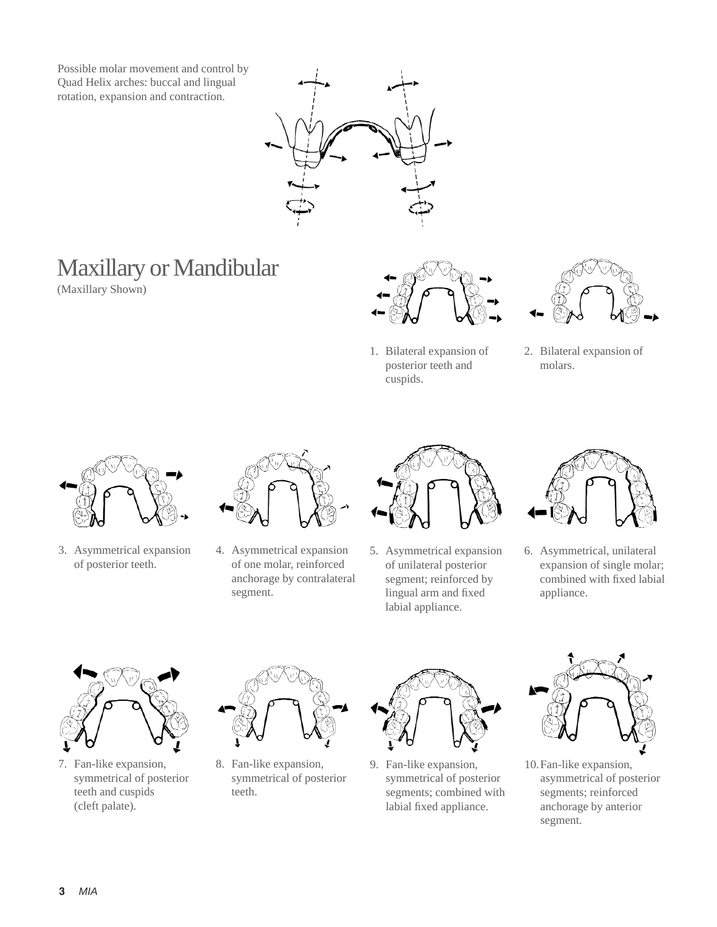Possible molar movement and control by Quad Helix arches: buccal and lingual rotation, expansion and contraction.



# Maxillary or Mandibular

(Maxillary Shown)



1. Bilateral expansion of posterior teeth and cuspids.



2. Bilateral expansion of molars.



3. Asymmetrical expansion of posterior teeth.



4. Asymmetrical expansion of one molar, reinforced anchorage by contralateral segment.



5. Asymmetrical expansion of unilateral posterior segment; reinforced by lingual arm and fixed labial appliance.



6. Asymmetrical, unilateral expansion of single molar; combined with fixed labial appliance.



7. Fan-like expansion, symmetrical of posterior teeth and cuspids (cleft palate).



8. Fan-like expansion, symmetrical of posterior teeth.



9. Fan-like expansion, symmetrical of posterior segments; combined with labial fixed appliance.



10.Fan-like expansion, asymmetrical of posterior segments; reinforced anchorage by anterior segment.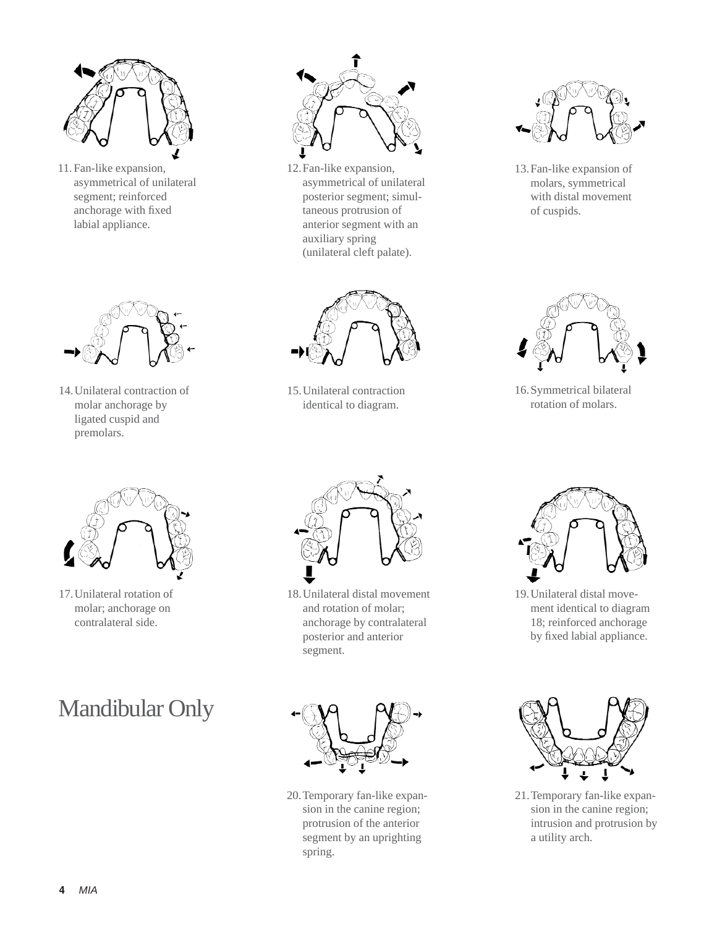

11. Fan-like expansion, asymmetrical of unilateral segment; reinforced anchorage with fixed labial appliance.



14.Unilateral contraction of molar anchorage by ligated cuspid and premolars.



17.Unilateral rotation of molar; anchorage on contralateral side.

# Mandibular Only



12.Fan-like expansion, asymmetrical of unilateral posterior segment; simultaneous protrusion of anterior segment with an auxiliary spring (unilateral cleft palate).



15.Unilateral contraction identical to diagram.



13.Fan-like expansion of molars, symmetrical with distal movement of cuspids.



16.Symmetrical bilateral rotation of molars.



18.Unilateral distal movement and rotation of molar; anchorage by contralateral posterior and anterior segment.



20.Temporary fan-like expansion in the canine region; protrusion of the anterior segment by an uprighting spring.



19.Unilateral distal movement identical to diagram 18; reinforced anchorage by fixed labial appliance.



21.Temporary fan-like expansion in the canine region; intrusion and protrusion by a utility arch.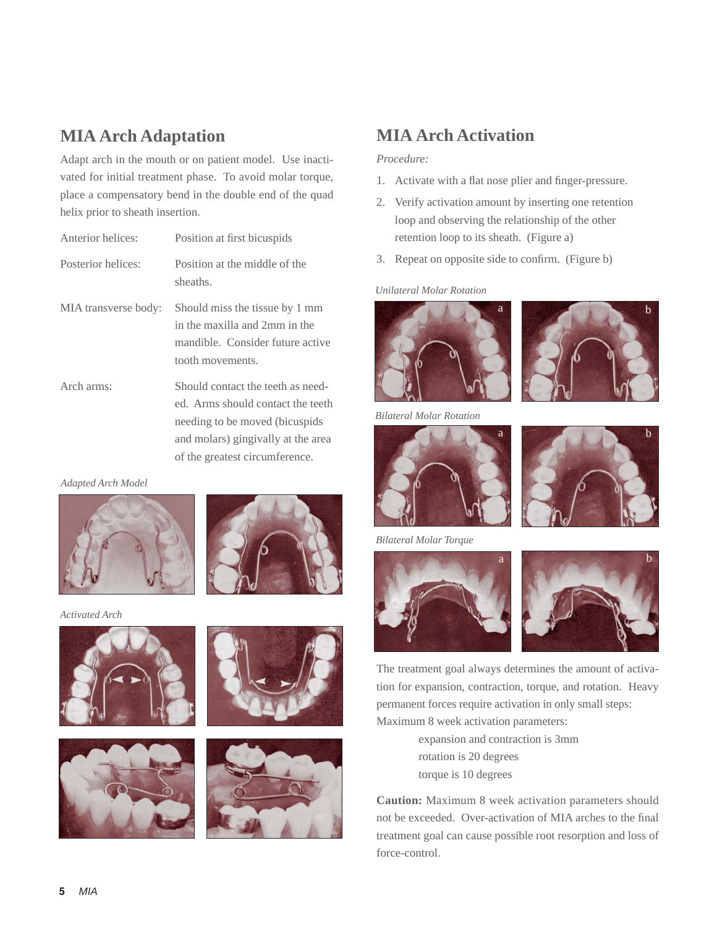### **MIA Arch Adaptation**

Adapt arch in the mouth or on patient model. Use inactivated for initial treatment phase. To avoid molar torque, place a compensatory bend in the double end of the quad helix prior to sheath insertion.

| Anterior helices:    | Position at first bicuspids                                                                                             |
|----------------------|-------------------------------------------------------------------------------------------------------------------------|
| Posterior helices:   | Position at the middle of the<br>sheaths.                                                                               |
| MIA transverse body: | Should miss the tissue by 1 mm<br>in the maxilla and 2mm in the<br>mandible. Consider future active<br>tooth movements. |
| Arch arms:           | Should contact the teeth as need-<br>ed. Arms should contact the teeth                                                  |

needing to be moved (bicuspids and molars) gingivally at the area of the greatest circumference.

*Adapted Arch Model*



*Activated Arch*









### **MIA Arch Activation**

#### *Procedure:*

- 1. Activate with a flat nose plier and finger-pressure.
- 2. Verify activation amount by inserting one retention loop and observing the relationship of the other retention loop to its sheath. (Figure a)
- 3. Repeat on opposite side to confirm. (Figure b)

#### *Unilateral Molar Rotation*



*Bilateral Molar Rotation*





*Bilateral Molar Torque*



The treatment goal always determines the amount of activation for expansion, contraction, torque, and rotation. Heavy permanent forces require activation in only small steps: Maximum 8 week activation parameters:

> expansion and contraction is 3mm rotation is 20 degrees torque is 10 degrees

**Caution:** Maximum 8 week activation parameters should not be exceeded. Over-activation of MIA arches to the final treatment goal can cause possible root resorption and loss of force-control.